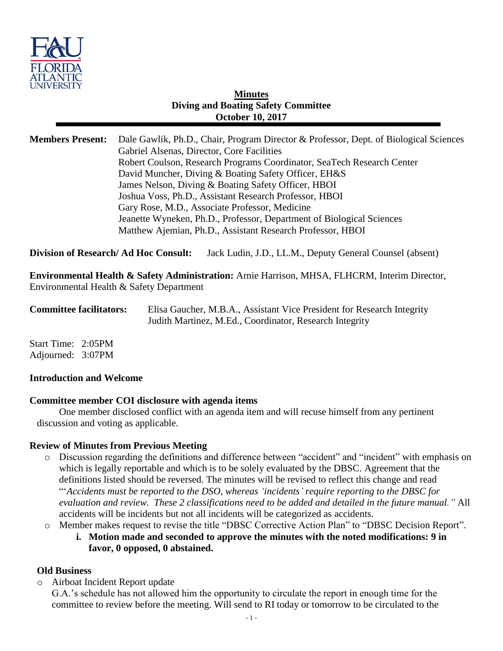

### **Minutes Diving and Boating Safety Committee October 10, 2017**

| <b>Members Present:</b> | Dale Gawlik, Ph.D., Chair, Program Director & Professor, Dept. of Biological Sciences |
|-------------------------|---------------------------------------------------------------------------------------|
|                         | Gabriel Alsenas, Director, Core Facilities                                            |
|                         | Robert Coulson, Research Programs Coordinator, SeaTech Research Center                |
|                         | David Muncher, Diving & Boating Safety Officer, EH&S                                  |
|                         | James Nelson, Diving & Boating Safety Officer, HBOI                                   |
|                         | Joshua Voss, Ph.D., Assistant Research Professor, HBOI                                |
|                         | Gary Rose, M.D., Associate Professor, Medicine                                        |
|                         | Jeanette Wyneken, Ph.D., Professor, Department of Biological Sciences                 |
|                         | Matthew Ajemian, Ph.D., Assistant Research Professor, HBOI                            |
|                         |                                                                                       |

**Division of Research/ Ad Hoc Consult:** Jack Ludin, J.D., LL.M., Deputy General Counsel (absent)

**Environmental Health & Safety Administration:** Arnie Harrison, MHSA, FLHCRM, Interim Director, Environmental Health & Safety Department

**Committee facilitators:** Elisa Gaucher, M.B.A., Assistant Vice President for Research Integrity Judith Martinez, M.Ed., Coordinator, Research Integrity

Start Time: 2:05PM Adjourned: 3:07PM

#### **Introduction and Welcome**

#### **Committee member COI disclosure with agenda items**

One member disclosed conflict with an agenda item and will recuse himself from any pertinent discussion and voting as applicable.

#### **Review of Minutes from Previous Meeting**

- o Discussion regarding the definitions and difference between "accident" and "incident" with emphasis on which is legally reportable and which is to be solely evaluated by the DBSC. Agreement that the definitions listed should be reversed. The minutes will be revised to reflect this change and read "'*Accidents must be reported to the DSO, whereas 'incidents' require reporting to the DBSC for evaluation and review. These 2 classifications need to be added and detailed in the future manual."* All accidents will be incidents but not all incidents will be categorized as accidents.
- o Member makes request to revise the title "DBSC Corrective Action Plan" to "DBSC Decision Report".
	- **i. Motion made and seconded to approve the minutes with the noted modifications: 9 in favor, 0 opposed, 0 abstained.**

#### **Old Business**

o Airboat Incident Report update

G.A.'s schedule has not allowed him the opportunity to circulate the report in enough time for the committee to review before the meeting. Will send to RI today or tomorrow to be circulated to the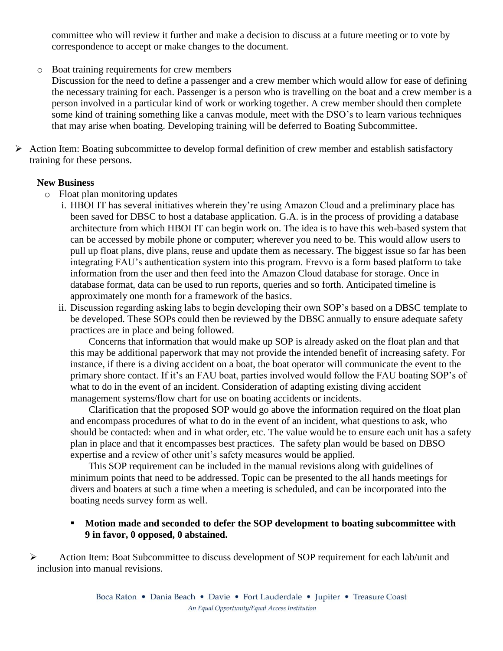committee who will review it further and make a decision to discuss at a future meeting or to vote by correspondence to accept or make changes to the document.

- o Boat training requirements for crew members
	- Discussion for the need to define a passenger and a crew member which would allow for ease of defining the necessary training for each. Passenger is a person who is travelling on the boat and a crew member is a person involved in a particular kind of work or working together. A crew member should then complete some kind of training something like a canvas module, meet with the DSO's to learn various techniques that may arise when boating. Developing training will be deferred to Boating Subcommittee.
- $\triangleright$  Action Item: Boating subcommittee to develop formal definition of crew member and establish satisfactory training for these persons.

#### **New Business**

- o Float plan monitoring updates
	- i. HBOI IT has several initiatives wherein they're using Amazon Cloud and a preliminary place has been saved for DBSC to host a database application. G.A. is in the process of providing a database architecture from which HBOI IT can begin work on. The idea is to have this web-based system that can be accessed by mobile phone or computer; wherever you need to be. This would allow users to pull up float plans, dive plans, reuse and update them as necessary. The biggest issue so far has been integrating FAU's authentication system into this program. Frevvo is a form based platform to take information from the user and then feed into the Amazon Cloud database for storage. Once in database format, data can be used to run reports, queries and so forth. Anticipated timeline is approximately one month for a framework of the basics.
	- ii. Discussion regarding asking labs to begin developing their own SOP's based on a DBSC template to be developed. These SOPs could then be reviewed by the DBSC annually to ensure adequate safety practices are in place and being followed.

Concerns that information that would make up SOP is already asked on the float plan and that this may be additional paperwork that may not provide the intended benefit of increasing safety. For instance, if there is a diving accident on a boat, the boat operator will communicate the event to the primary shore contact. If it's an FAU boat, parties involved would follow the FAU boating SOP's of what to do in the event of an incident. Consideration of adapting existing diving accident management systems/flow chart for use on boating accidents or incidents.

Clarification that the proposed SOP would go above the information required on the float plan and encompass procedures of what to do in the event of an incident, what questions to ask, who should be contacted: when and in what order, etc. The value would be to ensure each unit has a safety plan in place and that it encompasses best practices. The safety plan would be based on DBSO expertise and a review of other unit's safety measures would be applied.

This SOP requirement can be included in the manual revisions along with guidelines of minimum points that need to be addressed. Topic can be presented to the all hands meetings for divers and boaters at such a time when a meeting is scheduled, and can be incorporated into the boating needs survey form as well.

#### **Motion made and seconded to defer the SOP development to boating subcommittee with 9 in favor, 0 opposed, 0 abstained.**

 Action Item: Boat Subcommittee to discuss development of SOP requirement for each lab/unit and inclusion into manual revisions.